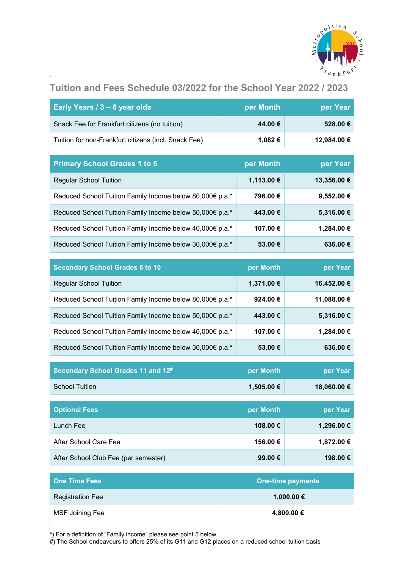

# **Tuition and Fees Schedule 03/2022 for the School Year 2022 / 2023**

| Early Years / 3 - 6 year olds                            | per Month<br>per Year    |             |  |  |  |  |  |  |  |
|----------------------------------------------------------|--------------------------|-------------|--|--|--|--|--|--|--|
| Snack Fee for Frankfurt citizens (no tuition)            | 44.00€                   | 528.00€     |  |  |  |  |  |  |  |
| Tuition for non-Frankfurt citizens (incl. Snack Fee)     | 1,082€                   | 12,984.00 € |  |  |  |  |  |  |  |
|                                                          |                          |             |  |  |  |  |  |  |  |
| <b>Primary School Grades 1 to 5</b>                      | per Month                | per Year    |  |  |  |  |  |  |  |
| <b>Regular School Tuition</b>                            | 1,113.00 €               | 13,356.00 € |  |  |  |  |  |  |  |
| Reduced School Tuition Family Income below 80,000€ p.a.* | 796.00€                  | 9,552.00 €  |  |  |  |  |  |  |  |
| Reduced School Tuition Family Income below 50,000€ p.a.* | 443.00€                  | 5,316.00 €  |  |  |  |  |  |  |  |
| Reduced School Tuition Family Income below 40,000€ p.a.* | 107.00€                  | 1,284.00 €  |  |  |  |  |  |  |  |
| Reduced School Tuition Family Income below 30,000€ p.a.* | 53.00€                   | 636.00€     |  |  |  |  |  |  |  |
|                                                          |                          |             |  |  |  |  |  |  |  |
| <b>Secondary School Grades 6 to 10</b>                   | per Month                | per Year    |  |  |  |  |  |  |  |
| <b>Regular School Tuition</b>                            | 1,371.00 €               | 16,452.00 € |  |  |  |  |  |  |  |
| Reduced School Tuition Family Income below 80,000€ p.a.* | 924.00€                  | 11,088.00 € |  |  |  |  |  |  |  |
| Reduced School Tuition Family Income below 50,000€ p.a.* | 443.00€                  | 5,316.00 €  |  |  |  |  |  |  |  |
| Reduced School Tuition Family Income below 40,000€ p.a.* | 107.00€                  | 1,284.00 €  |  |  |  |  |  |  |  |
| Reduced School Tuition Family Income below 30,000€ p.a.* | 53.00€                   | 636.00€     |  |  |  |  |  |  |  |
|                                                          |                          |             |  |  |  |  |  |  |  |
| Secondary School Grades 11 and 12#                       | per Month                | per Year    |  |  |  |  |  |  |  |
| <b>School Tuition</b>                                    | 1,505.00 €               | 18,060.00 € |  |  |  |  |  |  |  |
| <b>Optional Fees</b>                                     | per Month                | per Year    |  |  |  |  |  |  |  |
| Lunch Fee                                                | 108.00€                  | 1,296.00 €  |  |  |  |  |  |  |  |
| After School Care Fee                                    | 156.00€                  | 1,872.00 €  |  |  |  |  |  |  |  |
| After School Club Fee (per semester)                     | 99.00€                   | 198.00€     |  |  |  |  |  |  |  |
| <b>One Time Fees</b>                                     | <b>One-time payments</b> |             |  |  |  |  |  |  |  |

| <b>One Time Fees</b>    | <b>One-time payments</b> |
|-------------------------|--------------------------|
| <b>Registration Fee</b> | 1,000.00 €               |
| MSF Joining Fee         | 4,800.00 €               |

\*) For a definition of "Family income" please see point 5 below.

#) The School endeavours to offers 25% of its G11 and G12 places on a reduced school tuition basis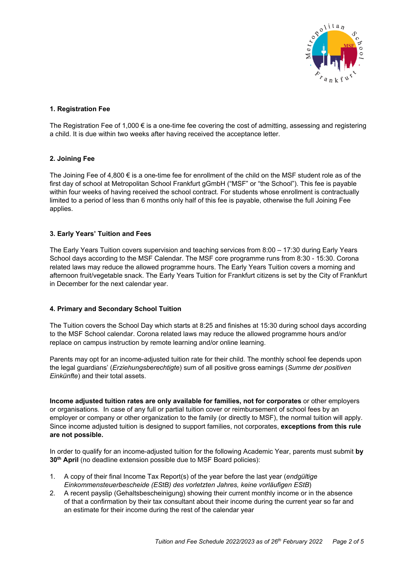

# **1. Registration Fee**

The Registration Fee of 1,000 € is a one-time fee covering the cost of admitting, assessing and registering a child. It is due within two weeks after having received the acceptance letter.

# **2. Joining Fee**

The Joining Fee of 4,800 € is a one-time fee for enrollment of the child on the MSF student role as of the first day of school at Metropolitan School Frankfurt gGmbH ("MSF" or "the School"). This fee is payable within four weeks of having received the school contract. For students whose enrollment is contractually limited to a period of less than 6 months only half of this fee is payable, otherwise the full Joining Fee applies.

# **3. Early Years' Tuition and Fees**

The Early Years Tuition covers supervision and teaching services from 8:00 – 17:30 during Early Years School days according to the MSF Calendar. The MSF core programme runs from 8:30 - 15:30. Corona related laws may reduce the allowed programme hours. The Early Years Tuition covers a morning and afternoon fruit/vegetable snack. The Early Years Tuition for Frankfurt citizens is set by the City of Frankfurt in December for the next calendar year.

## **4. Primary and Secondary School Tuition**

The Tuition covers the School Day which starts at 8:25 and finishes at 15:30 during school days according to the MSF School calendar. Corona related laws may reduce the allowed programme hours and/or replace on campus instruction by remote learning and/or online learning.

Parents may opt for an income-adjusted tuition rate for their child. The monthly school fee depends upon the legal guardians' (*Erziehungsberechtigte*) sum of all positive gross earnings (*Summe der positiven Einkünfte*) and their total assets.

**Income adjusted tuition rates are only available for families, not for corporates** or other employers or organisations. In case of any full or partial tuition cover or reimbursement of school fees by an employer or company or other organization to the family (or directly to MSF), the normal tuition will apply. Since income adjusted tuition is designed to support families, not corporates, **exceptions from this rule are not possible.** 

In order to qualify for an income-adjusted tuition for the following Academic Year, parents must submit **by 30<sup>th</sup> April** (no deadline extension possible due to MSF Board policies):

- 1. A copy of their final Income Tax Report(s) of the year before the last year (*endgültige Einkommensteuerbescheide (EStB) des vorletzten Jahres, keine vorläufigen EStB*)
- 2. A recent payslip (Gehaltsbescheinigung) showing their current monthly income or in the absence of that a confirmation by their tax consultant about their income during the current year so far and an estimate for their income during the rest of the calendar year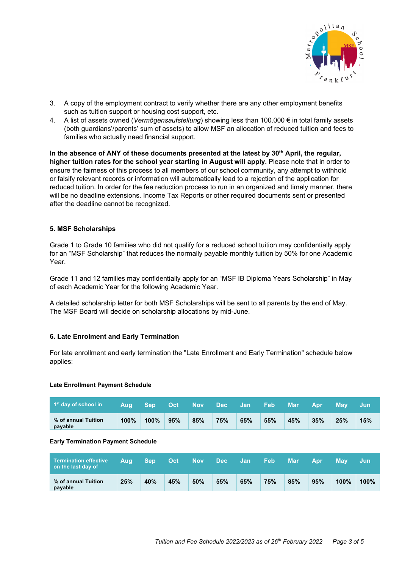

- 3. A copy of the employment contract to verify whether there are any other employment benefits such as tuition support or housing cost support, etc.
- 4. A list of assets owned (*Vermögensaufstellung*) showing less than 100.000 € in total family assets (both guardians'/parents' sum of assets) to allow MSF an allocation of reduced tuition and fees to families who actually need financial support.

In the absence of ANY of these documents presented at the latest by 30<sup>th</sup> April, the regular, **higher tuition rates for the school year starting in August will apply.** Please note that in order to ensure the fairness of this process to all members of our school community, any attempt to withhold or falsify relevant records or information will automatically lead to a rejection of the application for reduced tuition. In order for the fee reduction process to run in an organized and timely manner, there will be no deadline extensions. Income Tax Reports or other required documents sent or presented after the deadline cannot be recognized.

## **5. MSF Scholarships**

Grade 1 to Grade 10 families who did not qualify for a reduced school tuition may confidentially apply for an "MSF Scholarship" that reduces the normally payable monthly tuition by 50% for one Academic Year.

Grade 11 and 12 families may confidentially apply for an "MSF IB Diploma Years Scholarship" in May of each Academic Year for the following Academic Year.

A detailed scholarship letter for both MSF Scholarships will be sent to all parents by the end of May. The MSF Board will decide on scholarship allocations by mid-June.

## **6. Late Enrolment and Early Termination**

For late enrollment and early termination the "Late Enrollment and Early Termination" schedule below applies:

#### **Late Enrollment Payment Schedule**

| $\vert$ 1 <sup>st</sup> day of school in | 'Aug | <b>Sep</b> | Oct | <b>Nov</b> | <b>Dec</b> | - Jan | <b>Feb</b> | Mar | <b>Apr</b> | <b>May</b> | -Jun |
|------------------------------------------|------|------------|-----|------------|------------|-------|------------|-----|------------|------------|------|
| % of annual Tuition<br>payable           | 100% | 100%       | 95% | 85%        | 75%        | 65%   | 55%        | 45% | 35%        | 25%        | 15%  |

#### **Early Termination Payment Schedule**

| <b>Termination effective</b><br>on the last day of | Aug | <b>Sep</b> | Oct | <b>Nov</b> | Dec: | /Jan | Feb | Mar | <b>Apr</b> | Mav     | Jun  |
|----------------------------------------------------|-----|------------|-----|------------|------|------|-----|-----|------------|---------|------|
| % of annual Tuition<br>payable                     | 25% | 40%        | 45% | 50%        | 55%  | 65%  | 75% | 85% | 95%        | $100\%$ | 100% |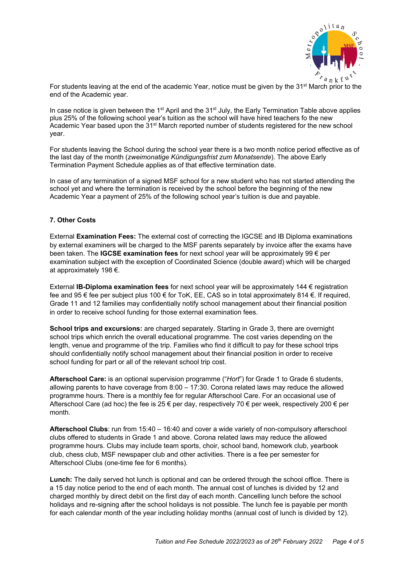

For students leaving at the end of the academic Year, notice must be given by the 31<sup>st</sup> March prior to the end of the Academic year.

In case notice is given between the  $1<sup>st</sup>$  April and the  $31<sup>st</sup>$  July, the Early Termination Table above applies plus 25% of the following school year's tuition as the school will have hired teachers fo the new Academic Year based upon the 31<sup>st</sup> March reported number of students registered for the new school year.

For students leaving the School during the school year there is a two month notice period effective as of the last day of the month (*zweimonatige Kündigungsfrist zum Monatsende*). The above Early Termination Payment Schedule applies as of that effective termination date.

In case of any termination of a signed MSF school for a new student who has not started attending the school yet and where the termination is received by the school before the beginning of the new Academic Year a payment of 25% of the following school year's tuition is due and payable.

## **7. Other Costs**

External **Examination Fees:** The external cost of correcting the IGCSE and IB Diploma examinations by external examiners will be charged to the MSF parents separately by invoice after the exams have been taken. The **IGCSE examination fees** for next school year will be approximately 99 € per examination subject with the exception of Coordinated Science (double award) which will be charged at approximately 198 €.

External **IB-Diploma examination fees** for next school year will be approximately 144 € registration fee and 95 € fee per subject plus 100 € for ToK, EE, CAS so in total approximately 814 €. If required, Grade 11 and 12 families may confidentially notify school management about their financial position in order to receive school funding for those external examination fees.

**School trips and excursions:** are charged separately. Starting in Grade 3, there are overnight school trips which enrich the overall educational programme. The cost varies depending on the length, venue and programme of the trip. Families who find it difficult to pay for these school trips should confidentially notify school management about their financial position in order to receive school funding for part or all of the relevant school trip cost.

**Afterschool Care:** is an optional supervision programme ("*Hort*") for Grade 1 to Grade 6 students, allowing parents to have coverage from 8:00 – 17:30. Corona related laws may reduce the allowed programme hours. There is a monthly fee for regular Afterschool Care. For an occasional use of Afterschool Care (ad hoc) the fee is 25  $\epsilon$  per day, respectively 70  $\epsilon$  per week, respectively 200  $\epsilon$  per month.

**Afterschool Clubs**: run from 15:40 – 16:40 and cover a wide variety of non-compulsory afterschool clubs offered to students in Grade 1 and above. Corona related laws may reduce the allowed programme hours. Clubs may include team sports, choir, school band, homework club, yearbook club, chess club, MSF newspaper club and other activities. There is a fee per semester for Afterschool Clubs (one-time fee for 6 months).

**Lunch:** The daily served hot lunch is optional and can be ordered through the school office. There is a 15 day notice period to the end of each month. The annual cost of lunches is divided by 12 and charged monthly by direct debit on the first day of each month. Cancelling lunch before the school holidays and re-signing after the school holidays is not possible. The lunch fee is payable per month for each calendar month of the year including holiday months (annual cost of lunch is divided by 12).